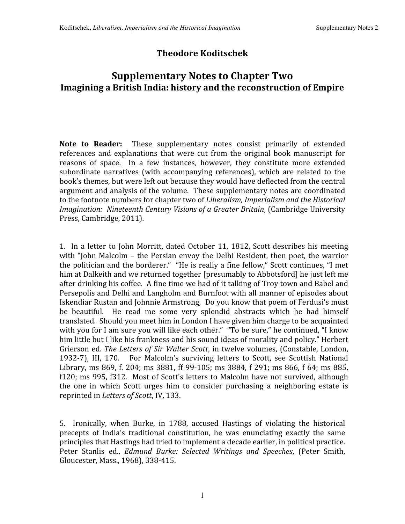## **Theodore Koditschek**

## **Supplementary Notes to Chapter Two Imagining a British India: history and the reconstruction of Empire**

Note to Reader: These supplementary notes consist primarily of extended references and explanations that were cut from the original book manuscript for reasons of space. In a few instances, however, they constitute more extended subordinate narratives (with accompanying references), which are related to the book's
themes,
but
were
left
out
because
they
would
have
deflected
from
the
central argument
and
analysis
of
the
volume. These
supplementary
notes
are
coordinated to
the
footnote
numbers
for
chapter
two
of *Liberalism,
Imperialism
and
the
Historical Imagination: Nineteenth
Century
Visions
of
a
Greater
Britain*,
(Cambridge
University Press,
Cambridge,
2011).

1. In a
letter
to
John
Morritt,
dated
October
11,
1812, Scott
describes
his
meeting with "John Malcolm – the Persian envoy the Delhi Resident, then poet, the warrior the politician and the borderer." "He is really a fine fellow," Scott continues, "I met him at Dalkeith and we returned together [presumably to Abbotsford] he just left me after drinking his coffee. A fine time we had of it talking of Troy town and Babel and Persepolis and Delhi and Langholm and Burnfoot with all manner of episodes about Iskendiar
Rustan
and
Johnnie
Armstrong, Do
you
know
that
poem
of
Ferdusi's
must be beautiful. He read me some very splendid abstracts which he had himself translated. Should
you
meet
him
in
London
I
have
given
him
charge
to
be
acquainted with you for I am sure you will like each other." "To be sure," he continued, "I know him little but I like his frankness and his sound ideas of morality and policy." Herbert Grierson ed. The Letters of Sir Walter Scott, in twelve volumes, (Constable, London, 1932-7), III, 170. For Malcolm's surviving letters to Scott, see Scottish National Library, ms 869, f. 204; ms 3881, ff 99-105; ms 3884, f 291; ms 866, f 64; ms 885, f120; ms 995, f312. Most of Scott's letters to Malcolm have not survived, although the one in which Scott urges him to consider purchasing a neighboring estate is reprinted
in *Letters
of
Scott*,
IV,
133.

5. Ironically, when Burke, in 1788, accused Hastings of violating the historical precepts of India's traditional constitution, he was enunciating exactly the same principles
that
Hastings
had
tried
to
implement
a
decade
earlier,
in
political
practice. Peter Stanlis ed., *Edmund Burke: Selected Writings and Speeches*, (Peter Smith, Gloucester,
Mass.,
1968),
338‐415.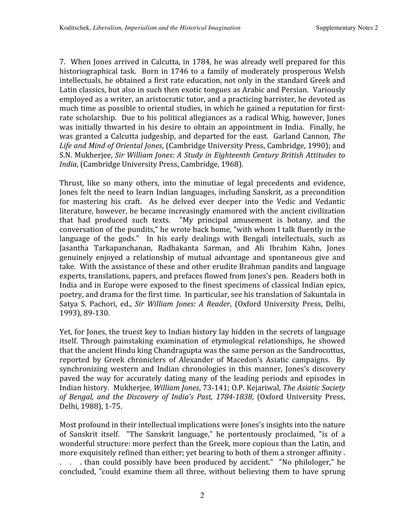7. When Jones arrived in Calcutta, in 1784, he was already well prepared for this historiographical task. Born in 1746 to a family of moderately prosperous Welsh intellectuals, he obtained a first rate education, not only in the standard Greek and Latin classics, but also in such then exotic tongues as Arabic and Persian. Variously employed as a writer, an aristocratic tutor, and a practicing barrister, he devoted as much time as possible to oriental studies, in which he gained a reputation for firstrate scholarship. Due to his political allegiances as a radical Whig, however, Jones was initially thwarted in his desire to obtain an appointment in India. Finally, he was
granted
a
Calcutta
judgeship,
and
departed
for
the
east. Garland
Cannon, *The*  Life and Mind of Oriental Jones, (Cambridge University Press, Cambridge, 1990); and S.N.
Mukherjee, *Sir
William
Jones:
A
Study
in
Eighteenth
Century
British
Attitudes
to*  India, (Cambridge University Press, Cambridge, 1968).

Thrust, like so many others, into the minutiae of legal precedents and evidence, Jones felt the need to learn Indian languages, including Sanskrit, as a precondition for mastering his craft. As he delved ever deeper into the Vedic and Vedantic literature,
however,
he
became
increasingly
enamored
with
the
ancient
civilization that had produced such texts. "My principal amusement is botany, and the conversation of the pundits," he wrote back home, "with whom I talk fluently in the language of the gods." In his early dealings with Bengali intellectuals, such as Jasantha Tarkapanchanan, Radhakanta Sarman, and Ali Ibrahim Kahn, Jones genuinely enjoyed a relationship of mutual advantage and spontaneous give and take. With the assistance of these and other erudite Brahman pandits and language experts, translations, papers, and prefaces flowed from Jones's pen. Readers both in India and in Europe were exposed to the finest specimens of classical Indian epics, poetry, and drama for the first time. In particular, see his translation of Sakuntala in Satya S. Pachori, ed., Sir William Jones: A Reader, (Oxford University Press, Delhi, 1993),
89‐130.

Yet, for Jones, the truest key to Indian history lay hidden in the secrets of language itself. Through painstaking examination of etymological relationships, he showed that
the
ancient
Hindu
king
Chandragupta
was
the
same
person
as
the
Sandrocottus, reported by Greek chroniclers of Alexander of Macedon's Asiatic campaigns. By synchronizing western and Indian chronologies in this manner, Jones's discovery paved the way for accurately dating many of the leading periods and episodes in Indian
history. Mukherjee, *William
Jones*,
73‐141;
O.P.
Kejariwal, *The
Asiatic
Society of Bengal, and the Discovery of India's Past, 17841838*,
(Oxford University Press, Delhi,
1988),
1‐75.

Most profound in their intellectual implications were Jones's insights into the nature of Sanskrit itself. "The Sanskrit language," he portentously proclaimed, "is of a wonderful
structure:
more
perfect
than
the
Greek,
more
copious
than
the
Latin,
and more exquisitely refined than either; yet bearing to both of them a stronger affinity. . . . than could possibly have been produced by accident." "No philologer," he concluded, "could examine them all three, without believing them to have sprung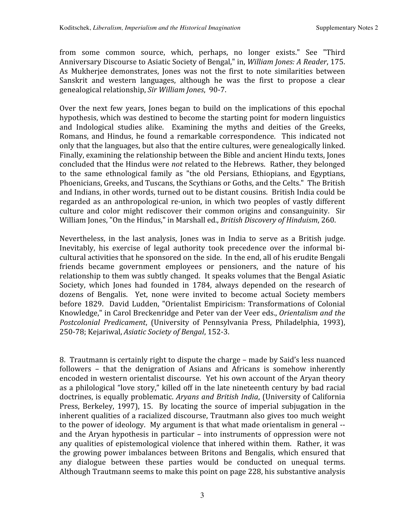from some common source, which, perhaps, no longer exists." See "Third Anniversary Discourse to Asiatic Society of Bengal," in, *William Jones: A Reader*, 175. As Mukherjee demonstrates, Jones was not the first to note similarities between Sanskrit and western languages, although he was the first to propose a clear genealogical
relationship, *Sir
William
Jones*,

90‐7.

Over the next few years, Jones began to build on the implications of this epochal hypothesis, which was destined to become the starting point for modern linguistics and Indological studies alike. Examining the myths and deities of the Greeks, Romans, and Hindus, he found a remarkable correspondence. This indicated not only that the languages, but also that the entire cultures, were genealogically linked. Finally,
examining
the
relationship
between
the
Bible
and
ancient
Hindu
texts,
Jones concluded
that
the
Hindus
were *not* related
to
the
Hebrews. Rather,
they
belonged to the same ethnological family as "the old Persians, Ethiopians, and Egyptians, Phoenicians, Greeks, and Tuscans, the Scythians or Goths, and the Celts." The British and
Indians,
in
other
words,
turned
out
to
be
distant
cousins. British
India
could
be regarded as an anthropological re-union, in which two peoples of vastly different culture and color might rediscover their common origins and consanguinity. Sir William Jones, "On the Hindus," in Marshall ed., *British Discovery of Hinduism*, 260.

Nevertheless, in the last analysis, Jones was in India to serve as a British judge. Inevitably, his exercise of legal authority took precedence over the informal bicultural
activities
that
he
sponsored
on
the
side. In
the
end,
all
of
his
erudite
Bengali friends became government employees or pensioners, and the nature of his relationship to them was subtly changed. It speaks volumes that the Bengal Asiatic Society, which Jones had founded in 1784, always depended on the research of dozens of Bengalis. Yet, none were invited to become actual Society members before 1829. David Ludden,
"Orientalist
Empiricism:
Transformations of Colonial Knowledge,"
in
Carol
Breckenridge
and
Peter
van
der
Veer
eds., *Orientalism
and
the*  Postcolonial Predicament, (University of Pennsylvania Press, Philadelphia, 1993), 250‐78;
Kejariwal, *Asiatic
Society
of
Bengal*,
152‐3.

8. Trautmann
is
certainly
right
to
dispute
the
charge
– made
by
Said's
less
nuanced followers - that the denigration of Asians and Africans is somehow inherently encoded
in
western
orientalist
discourse. Yet
his
own
account
of
the
Aryan
theory as
a
philological
"love
story,"
killed
off
in
the
late
nineteenth
century
by
bad
racial doctrines,
is
equally
problematic. *Aryans
and
British
India*,
(University
of
California Press, Berkeley, 1997), 15. By locating the source of imperial subjugation in the inherent qualities of a racialized discourse, Trautmann also gives too much weight to the power of ideology. My argument is that what made orientalism in general -and
the
Aryan
hypothesis
in
particular
– into
instruments
of
oppression
were
not any
qualities
of
epistemological
violence
that
inhered
within
them. Rather,
it
was the
growing
power
imbalances
between
Britons and
Bengalis,
which ensured
that any dialogue between these parties would be conducted on unequal terms. Although Trautmann seems to make this point on page 228, his substantive analysis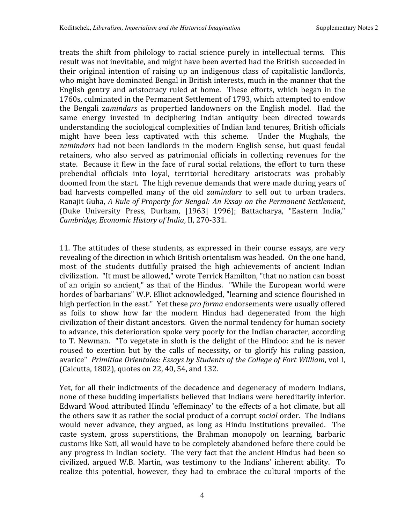treats
the shift
from philology
to racial science purely in intellectual
terms. This result
was
not
inevitable,
and
might
have
been
averted
had
the
British
succeeded
in their original intention of raising up an indigenous class of capitalistic landlords, who might have dominated Bengal in British interests, much in the manner that the English gentry and aristocracy ruled at home. These efforts, which began in the 1760s,
culminated
in
the Permanent
Settlement
of
1793,
which
attempted
to
endow the Bengali z*amindars* as propertied landowners on the English model. Had the same energy invested in deciphering Indian antiquity been directed towards understanding the sociological complexities of Indian land tenures, British officials might have been less captivated with this scheme. Under the Mughals, the zamindars had not been landlords in the modern English sense, but quasi feudal retainers, who also served as patrimonial officials in collecting revenues for the state. Because it flew in the face of rural social relations, the effort to turn these prebendial officials into loyal, territorial hereditary aristocrats was probably doomed
from
the
start. The
high
revenue
demands
that
were
made
during
years
of bad harvests compelled many of the old *zamindars* to sell out to urban traders. Ranajit
Guha, *A
Rule
of
Property
for
Bengal:
An
Essay
on
the
Permanent
Settlement*, (Duke University Press, Durham, [1963] 1996); Battacharya, "Eastern India," *Cambridge,
Economic
History
of
India*,
II,
270‐331.

11. The attitudes of these students, as expressed in their course essays, are very revealing of the direction in which British orientalism was headed. On the one hand, most of the students dutifully praised the high achievements of ancient Indian civilization. "It
must
be
allowed,"
wrote
Terrick
Hamilton,
"that
no
nation
can
boast of an origin so ancient," as
that of
the
Hindus. "While
the European
world
were hordes of barbarians" W.P. Elliot acknowledged, "learning and science flourished in high perfection in the east." Yet these pro forma endorsements were usually offered as foils to show how far the modern Hindus had degenerated from the high civilization
of
their
distant
ancestors. Given
the
normal
tendency
for
human
society to advance, this deterioration spoke very poorly for the Indian character, according to T. Newman. "To vegetate in sloth is the delight of the Hindoo: and he is never roused to exertion but by the calls of necessity, or to glorify his ruling passion, avarice" Primitiae Orientales: Essays by Students of the College of Fort William, vol I, (Calcutta,
1802),
quotes
on
22,
40,
54,
and
132.

Yet, for all their indictments of the decadence and degeneracy of modern Indians, none
of
these
budding
imperialists
believed
that
Indians
were
hereditarily
inferior. Edward Wood attributed Hindu 'effeminacy' to the effects of a hot climate, but all the others saw it as rather the social product of a corrupt *social* order. The Indians would never advance, they argued, as long as Hindu institutions prevailed. The caste system, gross superstitions, the Brahman monopoly on learning, barbaric customs
like
Sati,
all
would
have
to
be
completely
abandoned
before
there
could
be any
progress
in
Indian
society. The
very
fact
that
the
ancient
Hindus
had
been
so civilized, argued W.B. Martin, was testimony to the Indians' inherent ability. To realize this potential, however, they had to embrace the cultural imports of the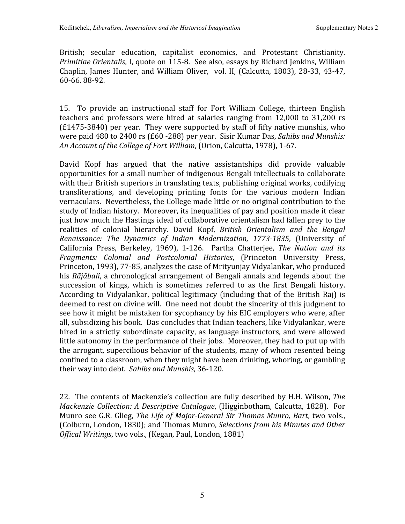British; secular education, capitalist economics, and Protestant Christianity. Primitiae Orientalis, I, quote on 115-8. See also, essays by Richard Jenkins, William Chaplin, James Hunter, and William Oliver, vol. II, (Calcutta, 1803), 28-33, 43-47, 60‐66.
88‐92.

15. To provide an instructional staff for Fort William College, thirteen English teachers and professors were hired at salaries ranging from 12,000 to 31,200 rs (£1475‐3840)
per
year. They
were
supported
by
staff
of
fifty
native
munshis,
who were
paid
480
to
2400
rs
(£60
‐288)
per
year. Sisir
Kumar
Das, *Sahibs
and
Munshis: An
Account
of
the
College
of
Fort
William*,
(Orion,
Calcutta,
1978),
1‐67.

David Kopf has argued that the native assistantships did provide valuable opportunities
for
a
small
number
of
indigenous
Bengali
intellectuals
to
collaborate with their British superiors in translating texts, publishing original works, codifying transliterations, and developing printing fonts for the various modern Indian vernaculars. Nevertheless, the College made little or no original contribution to the study of Indian history. Moreover, its inequalities of pay and position made it clear just how much the Hastings ideal of collaborative orientalism had fallen prey to the realities of colonial hierarchy. David Kopf, *British Orientalism and the Bengal Renaissance: The Dynamics of Indian Modernization, 17731835*, (University of California Press, Berkeley, 1969), 1‐126. Partha Chatterjee, *The Nation and its*  Fragments: Colonial and Postcolonial Histories, (Princeton University Press, Princeton,
1993),
77‐85,
analyzes
the
case
of
Mrityunjay
Vidyalankar,
who
produced his *Rãjãbali*, a chronological arrangement of Bengali annals and legends about the succession of kings, which is sometimes referred to as the first Bengali history. According
to
Vidyalankar,
political
legitimacy
(including
that of
the
British
Raj)
is deemed to rest on divine will. One need not doubt the sincerity of this judgment to see how it might be mistaken for sycophancy by his EIC employers who were, after all,
subsidizing
his
book. Das
concludes
that
Indian
teachers,
like
Vidyalankar, were hired in a strictly subordinate capacity, as language instructors, and were allowed little autonomy in the performance of their jobs. Moreover, they had to put up with the
arrogant,
supercilious
behavior
of
the
students,
many
of
whom
resented
being confined to a classroom, when they might have been drinking, whoring, or gambling their
way
into
debt. *Sahibs
and
Munshis*,
36‐120.

22. The
contents
of
Mackenzie's
collection
are
fully
described
by
H.H.
Wilson, *The Mackenzie Collection: A Descriptive Catalogue*, (Higginbotham, Calcutta, 1828). For Munro see G.R. Glieg, *The Life of Major-General Sir Thomas Munro, Bart*, two vols., (Colburn,
London,
1830);
and
Thomas
Munro, *Selections
from
his
Minutes
and
Other*  Offical Writings, two vols., (Kegan, Paul, London, 1881)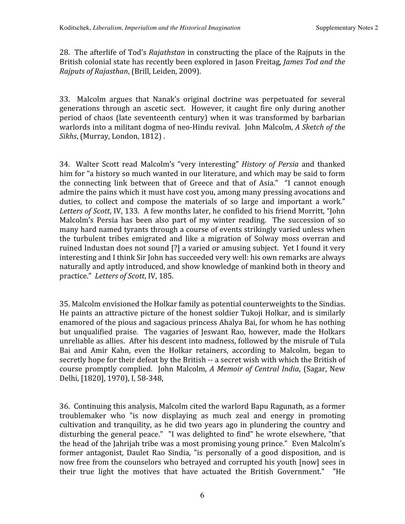28. The
afterlife
of
Tod's *Rajathstan* in
constructing
the
place
of
the
Rajputs
in
the British
colonial
state
has
recently
been
explored
in
Jason
Freitag, *James
Tod
and
the Rajputs
of
Rajasthan*,
(Brill,
Leiden,
2009).

33. Malcolm argues that Nanak's original doctrine was perpetuated for several generations through an ascetic sect. However, it caught fire only during another period of chaos (late seventeenth century) when it was transformed by barbarian warlords into a militant dogma of neo-Hindu revival. John Malcolm, A Sketch of the *Sikhs*, (Murray,
London,
1812) .

34. Walter Scott read Malcolm's
"very interesting" *History of Persia* and
thanked him for "a history so much wanted in our literature, and which may be said to form the connecting link between that of Greece and that of Asia." "I cannot enough admire the pains which it must have cost you, among many pressing avocations and duties, to collect and compose the materials of so large and important a work." Letters of Scott, IV, 133. A few months later, he confided to his friend Morritt, "John Malcolm's Persia has been also part of my winter reading. The succession of so many hard named tyrants through a course of events strikingly varied unless when the turbulent tribes emigrated and like a migration of Solway moss overran and ruined Industan does not sound [?] a varied or amusing subject. Yet I found it very interesting
and
I
think
Sir
John
has
succeeded
very
well:
his
own
remarks
are
always naturally
and
aptly
introduced,
and
show
knowledge
of
mankind
both
in
theory
and practice." *Letters
of
Scott*,
IV,
185.

35.
Malcolm
envisioned
the
Holkar
family
as
potential
counterweights
to
the
Sindias. He paints an attractive picture of the honest soldier Tukoji Holkar, and is similarly enamored
of
the
pious
and
sagacious
princess
Ahalya
Bai,
for
whom
he
has
nothing but unqualified praise. The vagaries of Jeswant Rao, however, made the Holkars unreliable
as
allies. After
his
descent
into
madness,
followed
by
the
misrule
of
Tula Bai and Amir Kahn, even the Holkar retainers, according to Malcolm, began to secretly hope for their defeat by the British -- a secret wish with which the British of course
promptly complied. John
Malcolm, *A
Memoir of
Central
India*, (Sagar,
New Delhi,
[1820],
1970),
I,
58‐348,

36. Continuing
this
analysis,
Malcolm
cited
the
warlord
Bapu
Ragunath,
as
a
former troublemaker who "is now displaying as much zeal and energy in promoting cultivation
and
tranquility,
as
he
did
two
years
ago
in
plundering
the country
and disturbing the general peace." "I was delighted to find" he wrote elsewhere, "that the head of the Jahrijah tribe was a most promising young prince." Even Malcolm's former antagonist, Daulet Rao Sindia, "is personally of a good disposition, and is now
free
from
the
counselors
who
betrayed
and
corrupted
his
youth
[now]
sees
in their true light the motives that have actuated the British Government." "He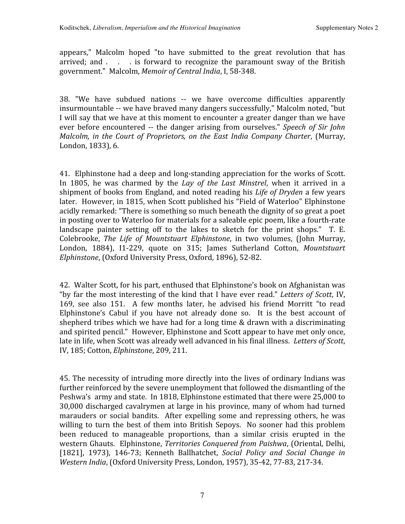appears," Malcolm hoped "to have submitted to the great revolution that has arrived; and . . . is forward to recognize the paramount sway of the British government."

Malcolm, *Memoir
of
Central
India*,
I,
58‐348.

38. "We have subdued nations ‐‐ we have overcome difficulties apparently insurmountable -- we have braved many dangers successfully," Malcolm noted, "but I will say that we have at this moment to encounter a greater danger than we have ever before encountered -- the danger arising from ourselves." Speech of Sir John *Malcolm, in
the Court of Proprietors, on
the East
India Company Charter*,
(Murray, London,
1833),
6.

41. Elphinstone
had
a
deep
and
long‐standing
appreciation
for
the
works
of
Scott. In 1805, he was charmed by the *Lay of the Last Minstrel*, when it arrived in a shipment of books from England, and noted reading his *Life of Dryden* a few years later. However,
in
1815,
when
Scott
published
his
"Field
of
Waterloo"
Elphinstone acidly
remarked:
"There
is
something
so
much
beneath
the
dignity
of
so
great
a
poet in
posting
over
to
Waterloo
for
materials
for
a
saleable
epic
poem,
like
a
fourth‐rate landscape painter setting off to the lakes to sketch for the print shops." T. E. Colebrooke, The Life of Mountstuart Elphinstone, in two volumes, (John Murray, London, 1884), I1-229, quote on 315; James Sutherland Cotton, Mountstuart *Elphinstone*,
(Oxford
University
Press,
Oxford,
1896),
52‐82.

42. Walter
Scott,
for
his
part,
enthused
that
Elphinstone's
book
on
Afghanistan
was "by far the most interesting of the kind that I have ever read." Letters of Scott, IV, 169, see also 151. A few months later, he advised his friend Morritt "to read Elphinstone's Cabul if you have not already done so. It is the best account of shepherd tribes which we have had for a long time & drawn with a discriminating and
spirited
pencil." However,
Elphinstone
and
Scott
appear
to
have
met
only
once, late in life, when Scott was already well advanced in his final illness. Letters of Scott, IV,
185;
Cotton, *Elphinstone*,
209,
211.

45.
The
necessity
of
intruding
more
directly
into
the
lives
of
ordinary
Indians
was further reinforced by the severe unemployment that followed the dismantling of the Peshwa's army and state. In 1818, Elphinstone estimated that there were 25,000 to 30,000
discharged
cavalrymen
at
large
in
his
province,
many
of
whom
had
turned marauders or social bandits. After expelling some and repressing others, he was willing to turn the best of them into British Sepoys. No sooner had this problem been reduced to manageable proportions, than a similar crisis erupted in the western
Ghauts. Elphinstone, *Territories
Conquered
from
Paishwa*, (Oriental,
Delhi, [1821], 1973), 146‐73; Kenneth Ballhatchet, *Social Policy and Social Change in*  Western *India*, (Oxford University Press, London, 1957), 35-42, 77-83, 217-34.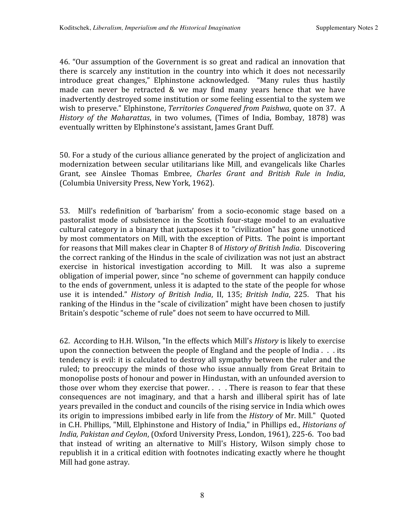46.
"Our
assumption
of
the
Government
is so
great
and radical
an
innovation
that there is scarcely any institution in the country into which it does not necessarily introduce great changes," Elphinstone acknowledged. "Many rules thus hastily made can never be retracted & we may find many years hence that we have inadvertently destroyed some institution or some feeling essential to the system we wish to preserve." Elphinstone, Territories Conquered from Paishwa, quote on 37. A *History of the Maharattas*, in two volumes, (Times of India, Bombay, 1878) was eventually
written
by
Elphinstone's
assistant,
James
Grant
Duff.

50.
For
a
study
of
the
curious
alliance
generated
by
the
project
of
anglicization
and modernization between secular utilitarians like Mill, and evangelicals like Charles Grant, see Ainslee Thomas Embree, *Charles Grant and British Rule in India*, (Columbia
University
Press,
New
York,
1962).

53. Mill's redefinition of 'barbarism' from a socio-economic stage based on a pastoralist mode of subsistence in
the Scottish four‐stage model
to an evaluative cultural
category
in
a
binary
that
juxtaposes
it
to
"civilization"
has
gone
unnoticed by
most
commentators
on
Mill,
with
the
exception
of
Pitts. The
point
is
important for
reasons
that
Mill
makes clear
in
Chapter
8
of *History
of
British
India*. Discovering the
correct
ranking
of
the
Hindus
in
the
scale
of
civilization
was
not
just
an
abstract exercise in historical investigation according to Mill. It was also a supreme obligation
of
imperial
power,
since
"no
scheme
of
government
can
happily
conduce to the ends of government, unless it is adapted to the state of the people for whose use it is intended." *History of British India*, II, 135; *British India*, 225. That his ranking of the Hindus in the "scale of civilization" might have been chosen to justify Britain's despotic "scheme of rule" does not seem to have occurred to Mill.

62. According
to
H.H.
Wilson,
"In
the
effects
which
Mill's *History* is
likely
to
exercise upon the connection between the people of England and the people of India . . . its tendency is evil: it is calculated to destroy all sympathy between the ruler and the ruled; to preoccupy the minds of those who issue annually from Great Britain to monopolise posts of honour and power in Hindustan, with an unfounded aversion to those over whom they exercise that power. . . . There is reason to fear that these consequences are not imaginary, and that a harsh and illiberal spirit has of late years
prevailed
in the
conduct
and
councils
of
the
rising
service
in
India
which
owes its
origin
to
impressions
imbibed
early
in
life
from
the *History* of
Mr.
Mill." Quoted in C.H. Phillips, "Mill, Elphinstone and History of India," in Phillips ed., *Historians of* India, Pakistan and Ceylon, (Oxford University Press, London, 1961), 225-6. Too bad that instead of writing an alternative to Mill's History, Wilson simply chose to republish it in a critical edition with footnotes indicating exactly where he thought Mill
had
gone
astray.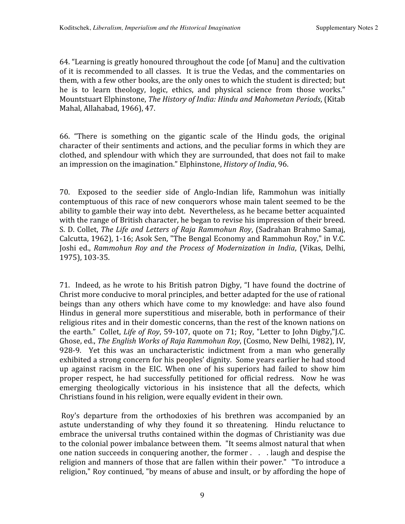64.
"Learning
is
greatly
honoured
throughout
the
code
[of
Manu]
and
the
cultivation of
it
is
recommended
to
all
classes. It
is
true
the
Vedas,
and
the
commentaries
on them, with a few other books, are the only ones to which the student is directed; but he is to learn theology, logic, ethics, and physical science from those works." Mountstuart
Elphinstone, *The
History
of
India:
Hindu
and
Mahometan
Periods*,
(Kitab Mahal,
Allahabad,
1966),
47.

66. "There is something on the gigantic scale of the Hindu gods, the original character
of
their
sentiments
and
actions,
and
the
peculiar
forms
in
which
they
are clothed,
and
splendour
with
which
they
are
surrounded,
that
does
not
fail
to
make an
impression
on
the
imagination."
Elphinstone, *History
of
India*,
96.

70. Exposed to the seedier side of Anglo-Indian life, Rammohun was initially contemptuous of this race of new conquerors whose main talent seemed to be the ability
to
gamble
their
way
into
debt. Nevertheless,
as
he
became
better
acquainted with the range of British character, he began to revise his impression of their breed. S.
D.
Collet, *The Life
and
Letters
of
Raja
Rammohun
Roy*, (Sadrahan
Brahmo
Samaj, Calcutta,
1962), 1‐16;
Asok
Sen,
"The
Bengal
Economy
and
Rammohun
Roy,"
in
V.C. Joshi ed., Rammohun Roy and the Process of Modernization in India, (Vikas, Delhi, 1975),
103‐35.

71. Indeed,
as
he
wrote
to
his
British
patron
Digby,
"I
have
found
the
doctrine
of Christ more conducive to moral principles, and better adapted for the use of rational beings than any others which have come to my knowledge: and have also found Hindus in general more superstitious and miserable, both in performance of their religious rites and in their domestic concerns, than the rest of the known nations on the earth." Collet, *Life of Roy*, 59-107, quote on 71; Roy, "Letter to John Digby,"J.C. Ghose,
ed., *The
English
Works of
Raja
Rammohun
Roy*, (Cosmo,
New
Delhi,
1982), IV, 928-9. Yet this was an uncharacteristic indictment from a man who generally exhibited a strong concern for his peoples' dignity. Some years earlier he had stood up against racism in the EIC. When one of his superiors had failed to show him proper respect, he had successfully petitioned for official redress. Now he was emerging theologically victorious in his insistence that all the defects, which Christians
found
in
his
religion,
were
equally
evident
in
their
own.

Roy's departure from the orthodoxies of his brethren was accompanied by an astute understanding of why they found it so threatening. Hindu reluctance to embrace
the
universal
truths
contained
within
the
dogmas
of
Christianity
was
due to the colonial power imbalance between them. "It seems almost natural that when one nation succeeds in conquering another, the former . . . laugh and despise the religion and manners of those that are fallen within their power." "To introduce a religion,"
Roy
continued,
"by
means
of
abuse
and
insult,
or
by
affording
the
hope
of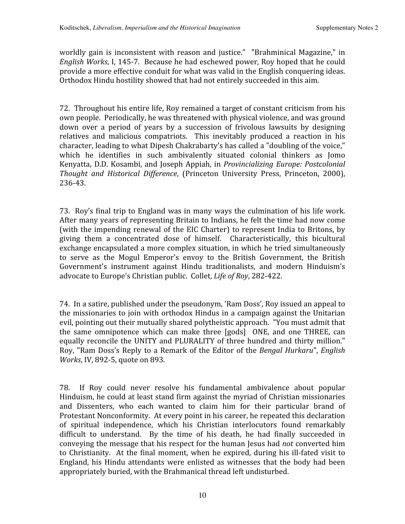worldly gain is inconsistent with reason and justice." "Brahminical Magazine," in English Works, I, 145-7. Because he had eschewed power, Roy hoped that he could provide
a
more
effective
conduit
for
what
was
valid
in
the
English
conquering
ideas. Orthodox Hindu hostility showed that had not entirely succeeded in this aim.

72. Throughout
his
entire
life,
Roy
remained
a
target
of
constant
criticism
from
his own
people. Periodically,
he
was
threatened
with
physical
violence,
and
was
ground down over a period of years by a succession of frivolous lawsuits by designing relatives and malicious compatriots. This inevitably produced a reaction in his character, leading to what Dipesh Chakrabarty's has called a "doubling of the voice," which he identifies in such ambivalently situated colonial thinkers as Jomo Kenyatta,
D.D.
Kosambi, and
Joseph
Appiah,
in *Provincializing
Europe:
Postcolonial*  Thought and Historical Difference, (Princeton University Press, Princeton, 2000), 236‐43.

73. Roy's
final
trip
to
England
was
in
many
ways
the
culmination
of
his life
work. After many years of representing Britain to Indians, he felt the time had now come (with the impending renewal of the EIC Charter) to represent India to Britons, by giving them a concentrated dose of himself. Characteristically, this bicultural exchange
encapsulated
a
more
complex
situation,
in
which
he
tried
simultaneously to serve as the Mogul Emperor's envoy to the British Government, the British Government's instrument against Hindu traditionalists, and modern Hinduism's advocate
to
Europe's
Christian
public.

Collet, *Life
of
Roy*,
282‐422.

74. In
a
satire,
published
under
the
pseudonym,
'Ram
Doss',
Roy
issued
an
appeal
to the missionaries to join with orthodox Hindus in a campaign against the Unitarian evil, pointing out their mutually shared polytheistic approach. "You must admit that the same omnipotence which can make three [gods] ONE, and one THREE, can equally reconcile the UNITY and PLURALITY of three hundred and thirty million." Roy, "Ram Doss's Reply to a Remark of the Editor of the *Bengal Hurkaru*", *English* Works, IV, 892-5, quote on 893.

78. If Roy could never resolve his fundamental ambivalence about popular Hinduism, he could at least stand firm against the myriad of Christian missionaries and Dissenters, who each wanted to claim him for their particular brand of Protestant Nonconformity. At every point in his career, he repeated this declaration of spiritual independence, which his Christian interlocutors found remarkably difficult to understand. By the time of his death, he had finally succeeded in conveying
the
message
that
his
respect
for
the
human
Jesus
had *not* converted
him to Christianity. At the final moment, when he expired, during his ill-fated visit to England, his Hindu attendants were enlisted as witnesses that the body had been appropriately
buried,
with
the
Brahmanical
thread
left
undisturbed.